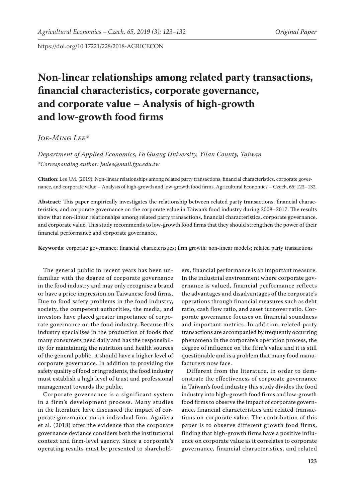# **Non-linear relationships among related party transactions, financial characteristics, corporate governance, and corporate value – Analysis of high-growth and low-growth food firms**

*Joe-Ming Lee\**

*Department of Applied Economics, Fo Guang University, Yilan County, Taiwan \*Corresponding author: [jmlee@mail.fgu.edu.tw](mailto:jmlee@mail.fgu.edu.tw)*

**Citation**: Lee J.M. (2019): Non-linear relationships among related party transactions, financial characteristics, corporate governance, and corporate value – Analysis of high-growth and low-growth food firms. Agricultural Economics – Czech, 65: 123–132.

**Abstract**: This paper empirically investigates the relationship between related party transactions, financial characteristics, and corporate governance on the corporate value in Taiwan's food industry during 2008–2017. The results show that non-linear relationships among related party transactions, financial characteristics, corporate governance, and corporate value. This study recommends to low-growth food firms that they should strengthen the power of their financial performance and corporate governance.

**Keywords**: corporate governance; financial characteristics; firm growth; non-linear models; related party transactions

The general public in recent years has been unfamiliar with the degree of corporate governance in the food industry and may only recognise a brand or have a price impression on Taiwanese food firms. Due to food safety problems in the food industry, society, the competent authorities, the media, and investors have placed greater importance of corporate governance on the food industry. Because this industry specialises in the production of foods that many consumers need daily and has the responsibility for maintaining the nutrition and health sources of the general public, it should have a higher level of corporate governance. In addition to providing the safety quality of food or ingredients, the food industry must establish a high level of trust and professional management towards the public.

Corporate governance is a significant system in a firm's development process. Many studies in the literature have discussed the impact of corporate governance on an individual firm. Aguilera et al. (2018) offer the evidence that the corporate governance deviance considers both the institutional context and firm-level agency. Since a corporate's operating results must be presented to sharehold-

ers, financial performance is an important measure. In the industrial environment where corporate governance is valued, financial performance reflects the advantages and disadvantages of the corporate's operations through financial measures such as debt ratio, cash flow ratio, and asset turnover ratio. Corporate governance focuses on financial soundness and important metrics. In addition, related party transactions are accompanied by frequently occurring phenomena in the corporate's operation process, the degree of influence on the firm's value and it is still questionable and is a problem that many food manufacturers now face.

Different from the literature, in order to demonstrate the effectiveness of corporate governance in Taiwan's food industry this study divides the food industry into high-growth food firms and low-growth food firms to observe the impact of corporate governance, financial characteristics and related transactions on corporate value. The contribution of this paper is to observe different growth food firms, finding that high-growth firms have a positive influence on corporate value as it correlates to corporate governance, financial characteristics, and related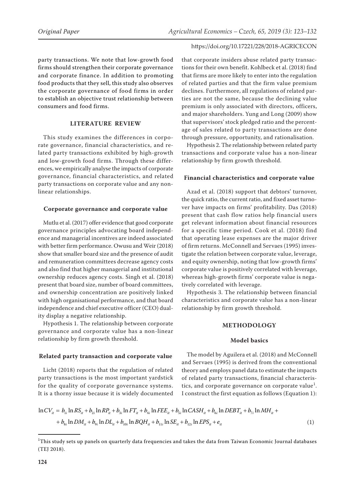party transactions. We note that low-growth food firms should strengthen their corporate governance and corporate finance. In addition to promoting food products that they sell, this study also observes the corporate governance of food firms in order to establish an objective trust relationship between consumers and food firms.

# **LITERATURE REVIEW**

This study examines the differences in corporate governance, financial characteristics, and related party transactions exhibited by high-growth and low-growth food firms. Through these differences, we empirically analyse the impacts of corporate governance, financial characteristics, and related party transactions on corporate value and any nonlinear relationships.

### **Corporate governance and corporate value**

Mutlu et al. (2017) offer evidence that good corporate governance principles advocating board independence and managerial incentives are indeed associated with better firm performance. Owusu and Weir (2018) show that smaller board size and the presence of audit and remuneration committees decrease agency costs and also find that higher managerial and institutional ownership reduces agency costs. Singh et al. (2018) present that board size, number of board committees, and ownership concentration are positively linked with high organisational performance, and that board independence and chief executive officer (CEO) duality display a negative relationship.

Hypothesis 1. The relationship between corporate governance and corporate value has a non-linear relationship by firm growth threshold.

## **Related party transaction and corporate value**

Licht (2018) reports that the regulation of related party transactions is the most important yardstick for the quality of corporate governance systems. It is a thorny issue because it is widely documented

# <https://doi.org/10.17221/228/2018>-AGRICECON

that corporate insiders abuse related party transactions for their own benefit. Kohlbeck et al. (2018) find that firms are more likely to enter into the regulation of related parties and that the firm value premium declines. Furthermore, all regulations of related parties are not the same, because the declining value premium is only associated with directors, officers, and major shareholders. Yung and Long (2009) show that supervisors' stock pledged ratio and the percentage of sales related to party transactions are done through pressure, opportunity, and rationalisation.

Hypothesis 2. The relationship between related party transactions and corporate value has a non-linear relationship by firm growth threshold.

### **Financial characteristics and corporate value**

Azad et al. (2018) support that debtors' turnover, the quick ratio, the current ratio, and fixed asset turnover have impacts on firms' profitability. Das (2018) present that cash flow ratios help financial users get relevant information about financial resources for a specific time period. Cook et al. (2018) find that operating lease expenses are the major driver of firm returns. McConnell and Servaes (1995) investigate the relation between corporate value, leverage, and equity ownership, noting that low-growth firms' corporate value is positively correlated with leverage, whereas high-growth firms' corporate value is negatively correlated with leverage.

Hypothesis 3. The relationship between financial characteristics and corporate value has a non-linear relationship by firm growth threshold.

# **METHODOLOGY**

#### **Model basics**

The model by Aguilera et al. (2018) and McConnell and Servaes (1995) is derived from the conventional theory and employs panel data to estimate the impacts of related party transactions, financial characteristics, and corporate governance on corporate value $^1$ . I construct the first equation as follows (Equation 1):

$$
\ln CV_{it} = b_{1i} \ln RS_{it} + b_{2i} \ln RP_{it} + b_{3i} \ln FT_{it} + b_{4i} \ln FEE_{it} + b_{5i} \ln CASH_{it} + b_{6i} \ln DEBT_{it} + b_{7i} \ln MH_{it} ++ b_{8i} \ln DM_{it} + b_{9i} \ln DL_{it} + b_{10i} \ln BQH_{it} + b_{11i} \ln SE_{it} + b_{12i} \ln EPS_{it} + e_{it}
$$
\n(1)

 $^{\rm 1}$ This study sets up panels on quarterly data frequencies and takes the data from Taiwan Economic Journal databases (TEJ 2018).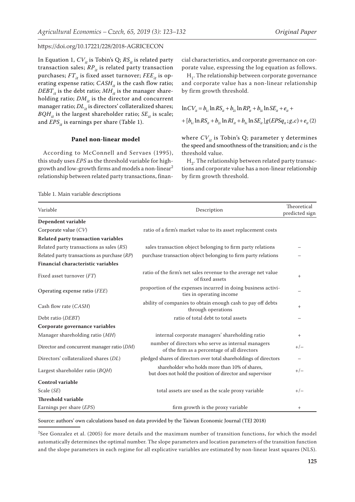In Equation 1,  $CV_{it}$  is Tobin's Q;  $RS_{it}$  is related party transaction sales;  $RP_{it}$  is related party transaction purchases;  $FT_{it}$  is fixed asset turnover;  $FEE_{it}$  is operating expense ratio;  $CASH_{it}$  is the cash flow ratio;  $DEBT_{it}$  is the debt ratio;  $MH_{it}$  is the manager shareholding ratio;  $DM_{it}$  is the director and concurrent manager ratio;  $DL_{it}$  is directors' collateralized shares;  $BQH_{it}$  is the largest shareholder ratio;  $SE_{it}$  is scale; and  $EPS_{it}$  is earnings per share (Table 1).

#### **Panel non-linear model**

According to McConnell and Servaes (1995), this study uses *EPS* as the threshold variable for highgrowth and low-growth firms and models a non-linear<sup>2</sup> relationship between related party transactions, finan-

cial characteristics, and corporate governance on corporate value, expressing the log equation as follows.

H<sub>1</sub>. The relationship between corporate governance and corporate value has a non-linear relationship by firm growth threshold.

$$
\ln CV_{it} = b_{1i} \ln RS_{it} + b_{2i} \ln RP_{it} + b_{3i} \ln SE_{it} + e_{it} +
$$
  
+ 
$$
[b_{1i} \ln RS_{it} + b_{2i} \ln RI_{it} + b_{3i} \ln SE_{it}] g(EPSq_{it}; g, c) + e_{it}(2)
$$

where  $CV_{it}$  is Tobin's Q; parameter γ determines the speed and smoothness of the transition; and *c* is the threshold value.

 $H<sub>2</sub>$ . The relationship between related party transactions and corporate value has a non-linear relationship by firm growth threshold.

| Variable                                      | Description                                                                                                 | Theoretical<br>predicted sign |  |
|-----------------------------------------------|-------------------------------------------------------------------------------------------------------------|-------------------------------|--|
| Dependent variable                            |                                                                                                             |                               |  |
| Corporate value $(CV)$                        | ratio of a firm's market value to its asset replacement costs                                               |                               |  |
| Related party transaction variables           |                                                                                                             |                               |  |
| Related party transactions as sales (RS)      | sales transaction object belonging to firm party relations                                                  |                               |  |
| Related party transactions as purchase $(RP)$ | purchase transaction object belonging to firm party relations                                               |                               |  |
| Financial characteristic variables            |                                                                                                             |                               |  |
| Fixed asset turnover (FT)                     | ratio of the firm's net sales revenue to the average net value<br>of fixed assets                           | $^{+}$                        |  |
| Operating expense ratio (FEE)                 | proportion of the expenses incurred in doing business activi-<br>ties in operating income                   |                               |  |
| Cash flow rate (CASH)                         | ability of companies to obtain enough cash to pay off debts<br>through operations                           | $^{+}$                        |  |
| Debt ratio (DEBT)                             | ratio of total debt to total assets                                                                         |                               |  |
| Corporate governance variables                |                                                                                                             |                               |  |
| Manager shareholding ratio (MH)               | internal corporate managers' shareholding ratio                                                             | $^{+}$                        |  |
| Director and concurrent manager ratio (DM)    | number of directors who serve as internal managers<br>of the firm as a percentage of all directors          | $+/-$                         |  |
| Directors' collateralized shares (DL)         | pledged shares of directors over total shareholdings of directors                                           |                               |  |
| Largest shareholder ratio (BQH)               | shareholder who holds more than 10% of shares.<br>but does not hold the position of director and supervisor | $+/-$                         |  |
| <b>Control variable</b>                       |                                                                                                             |                               |  |
| Scale (SE)                                    | total assets are used as the scale proxy variable                                                           | $+/-$                         |  |
| <b>Threshold variable</b>                     |                                                                                                             |                               |  |
| Earnings per share (EPS)                      | firm growth is the proxy variable                                                                           | $^+$                          |  |

Table 1. Main variable descriptions

Source: authors' own calculations based on data provided by the Taiwan Economic Journal (TEJ 2018)

<sup>2</sup> See Gonzalez et al. (2005) for more details and the maximum number of transition functions, for which the model automatically determines the optimal number. The slope parameters and location parameters of the transition function and the slope parameters in each regime for all explicative variables are estimated by non-linear least squares (NLS).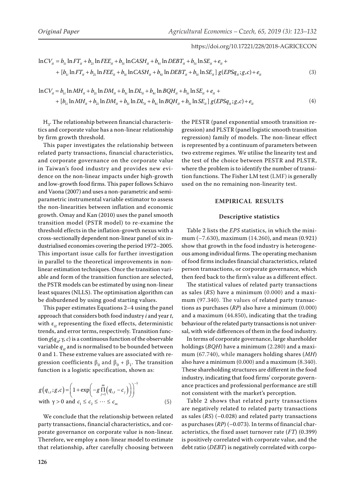$$
\ln CV_{it} = b_{1i} \ln FT_{it} + b_{2i} \ln FEE_{it} + b_{3i} \ln CASH_{it} + b_{4i} \ln DEBT_{it} + b_{5i} \ln SE_{it} + e_{it} +
$$
  
+ 
$$
[b_{1i} \ln FT_{it} + b_{2i} \ln FEE_{it} + b_{3i} \ln CASH_{it} + b_{4i} \ln DEBT_{it} + b_{5i} \ln SE_{it}] g(EPSq_{it}; g, c) + e_{it}
$$
 (3)

$$
\ln CV_{it} = b_{1i} \ln MH_{it} + b_{2i} \ln DM_{it} + b_{3i} \ln DL_{it} + b_{4i} \ln BQH_{it} + b_{5i} \ln SE_{it} + e_{it} ++ [b_{1i} \ln MH_{it} + b_{2i} \ln DM_{it} + b_{3i} \ln DL_{it} + b_{4i} \ln BQH_{it} + b_{5i} \ln SE_{it}] g(EPSq_{it}; g, c) + e_{it}
$$
\n(4)

 $H<sub>3</sub>$ . The relationship between financial characteristics and corporate value has a non-linear relationship by firm growth threshold.

This paper investigates the relationship between related party transactions, financial characteristics, and corporate governance on the corporate value in Taiwan's food industry and provides new evidence on the non-linear impacts under high-growth and low-growth food firms. This paper follows Schiavo and Vaona (2007) and uses a non-parametric and semiparametric instrumental variable estimator to assess the non-linearities between inflation and economic growth. Omay and Kan (2010) uses the panel smooth transition model (PSTR model) to re-examine the threshold effects in the inflation-growth nexus with a cross-sectionally dependent non-linear panel of six industrialised economies covering the period 1972–2005. This important issue calls for further investigation in parallel to the theoretical improvements in nonlinear estimation techniques. Once the transition variable and form of the transition function are selected, the PSTR models can be estimated by using non-linear least squares (NLLS). The optimisation algorithm can be disburdened by using good starting values.

This paper estimates Equations 2–4 using the panel approach that considers both food industry *i* and year *t*, with  $\varepsilon_{it}$  representing the fixed effects, deterministic trends, and error terms, respectively. Transition function *g*( $q_{ii}$ ; γ, *c*) is a continuous function of the observable variable  $q_{it}$  and is normalised to be bounded between 0 and 1. These extreme values are associated with regression coefficients  $\beta_0$  and  $\beta_0 + \beta_1$ . The transition function is a logistic specification, shown as:

$$
g(q_{i,t}; g, c) = \left(1 + \exp\left(-g \prod_{j=1}^{m} (q_{i,t} - c_j)\right)\right)^{-1}
$$
  
with  $\gamma > 0$  and  $c_1 \le c_2 \le \cdots \le c_m$  (5)

We conclude that the relationship between related party transactions, financial characteristics, and corporate governance on corporate value is non-linear. Therefore, we employ a non-linear model to estimate that relationship, after carefully choosing between

the PESTR (panel exponential smooth transition regression) and PLSTR (panel logistic smooth transition regression) family of models. The non-linear effect is represented by a continuum of parameters between two extreme regimes. We utilise the linearity test and the test of the choice between PESTR and PLSTR, where the problem is to identify the number of transition functions. The Fisher LM test (LMF) is generally used on the no remaining non-linearity test.

## **EMPIRICAL RESULTS**

#### **Descriptive statistics**

Table 2 lists the *EPS* statistics, in which the minimum (–7.630), maximum (14.260), and mean (0.921) show that growth in the food industry is heterogeneous among individual firms. The operating mechanism of food firms includes financial characteristics, related person transactions, or corporate governance, which then feed back to the firm's value as a different effect.

The statistical values of related party transactions as sales (*RS*) have a minimum (0.000) and a maximum (97.340). The values of related party transactions as purchases (*RP*) also have a minimum (0.000) and a maximum (44.850), indicating that the trading behaviour of the related party transactions is not universal, with wide differences of them in the food industry.

In terms of corporate governance, large shareholder holdings (*BQH*) have a minimum (2.280) and a maximum (67.740), while managers holding shares (*MH*) also have a minimum (0.000) and a maximum (8.340). These shareholding structures are different in the food industry, indicating that food firms' corporate governance practices and professional performance are still not consistent with the market's perception.

Table 2 shows that related party transactions are negatively related to related party transactions as sales (*RS*) (–0.028) and related party transactions as purchases (*RP*) (–0.073). In terms of financial characteristics, the fixed asset turnover rate (*FT*) (0.399) is positively correlated with corporate value, and the debt ratio (*DEBT*) is negatively correlated with corpo-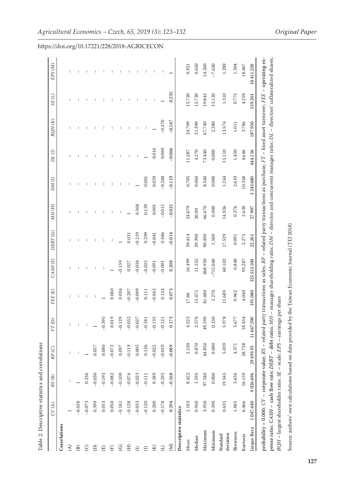|                        | CV (A)   | RS(B)    | RP(C)                                                                       | $FT(\mathbb{D})$               | FEE (E)  | $CASH$ $(F)$                                                                                                                                                                                                                                                                                                                                                   | DEBT <sub>(G)</sub> | MH(H)                    | DM(I)    | DL(J)                    | BOH(K)   | SE(L)                    | EPS <sub>(M)</sub>       |
|------------------------|----------|----------|-----------------------------------------------------------------------------|--------------------------------|----------|----------------------------------------------------------------------------------------------------------------------------------------------------------------------------------------------------------------------------------------------------------------------------------------------------------------------------------------------------------------|---------------------|--------------------------|----------|--------------------------|----------|--------------------------|--------------------------|
| Correlations           |          |          |                                                                             |                                |          |                                                                                                                                                                                                                                                                                                                                                                |                     |                          |          |                          |          |                          |                          |
| $\mathfrak{D}$         |          |          |                                                                             | $\overline{1}$                 |          |                                                                                                                                                                                                                                                                                                                                                                |                     |                          |          |                          |          |                          |                          |
| $\widehat{\Xi}$        | $-0.028$ |          |                                                                             |                                |          |                                                                                                                                                                                                                                                                                                                                                                |                     |                          |          |                          |          |                          |                          |
| ପ୍ର                    | $-0.073$ | 0.336    |                                                                             | $\begin{array}{c} \end{array}$ |          |                                                                                                                                                                                                                                                                                                                                                                |                     |                          |          |                          |          |                          |                          |
| ê                      | 0.399    | $-0.030$ | 0.057                                                                       |                                |          |                                                                                                                                                                                                                                                                                                                                                                |                     |                          |          | $\overline{\phantom{a}}$ |          |                          |                          |
| 田                      | 0.053    | $-0.193$ | 0.080                                                                       | $-0.395$                       |          | $\overline{\phantom{a}}$                                                                                                                                                                                                                                                                                                                                       |                     |                          |          | $\overline{\phantom{a}}$ |          |                          |                          |
| E)                     | 0.050    | $-0.082$ | $-0.072$                                                                    | 0.019                          | 0.060    |                                                                                                                                                                                                                                                                                                                                                                | I                   |                          |          | H                        | т        | ı                        | H                        |
| $\widehat{\mathbb{G}}$ | $-0.181$ | $-0.100$ | 0.097                                                                       | $-0.129$                       | 0.034    | $-0.159$                                                                                                                                                                                                                                                                                                                                                       |                     | $\overline{\phantom{a}}$ |          | H                        | т        | H                        |                          |
| E                      | $-0.128$ | $-0.076$ | $-0.119$                                                                    | $-0.032$                       | $-0.207$ | 0.027                                                                                                                                                                                                                                                                                                                                                          | 0.031               |                          | T        | T                        | T        | т                        | I                        |
| $\ominus$              | $-0.033$ | $-0.023$ | 0.005                                                                       | $-0.027$                       | $-0.099$ | $-0.038$                                                                                                                                                                                                                                                                                                                                                       | $-0.219$            | 0.368                    |          | T                        | T        | T                        | $\overline{\phantom{a}}$ |
| $\ominus$              | $-0.120$ | $-0.111$ | 0.126                                                                       | $-0.181$                       | 0.111    | $-0.025$                                                                                                                                                                                                                                                                                                                                                       | 0.299               | 0.139                    | 0.081    |                          | I        | $\overline{\phantom{a}}$ | $\overline{\phantom{a}}$ |
| $\mathfrak{D}$         | 0.200    | 0.389    | $-0.025$                                                                    | $-0.135$                       | $-0.042$ | $-0.091$                                                                                                                                                                                                                                                                                                                                                       | $-0.041$            | 0.001                    | 0.029    | 0.016                    |          | T                        |                          |
| $\ominus$              | $-0.178$ | $-0.292$ | $-0.010$                                                                    | $-0.121$                       | 0.124    | $-0.001$                                                                                                                                                                                                                                                                                                                                                       | 0.486               | $-0.011$                 | $-0.288$ | 0.069                    | $-0.370$ |                          |                          |
| $\widehat{\Xi}$        | 0.294    | $-0.168$ | $-0.069$                                                                    | 73<br>$\overline{0}$           | 0.073    | 0.208                                                                                                                                                                                                                                                                                                                                                          | $-0.014$            | $-0.021$                 | $-0.119$ | $-0.066$                 | $-0.167$ | 0.235                    |                          |
| Descriptive statistics |          |          |                                                                             |                                |          |                                                                                                                                                                                                                                                                                                                                                                |                     |                          |          |                          |          |                          |                          |
| Mean                   | 1.183    | 8.422    | 2.530                                                                       | 4.523                          | 17.60    | 16.499                                                                                                                                                                                                                                                                                                                                                         | 39.414              | 24.679                   | 0.705    | 11.287                   | 24.709   | 15.720                   | 0.921                    |
| Median                 | 0.950    | 1.595    | 0.870                                                                       | 2.570                          | 15.475   | 11.555                                                                                                                                                                                                                                                                                                                                                         | 39.390              | 20.00                    | 0.060    | 4.270                    | 21.390   | 15.730                   | 0.650                    |
| Maximum                | 3.950    | 97.340   | 44.850                                                                      | 49.190                         | 81.480   | 868.950                                                                                                                                                                                                                                                                                                                                                        | 90.490              | 66.670                   | 8.340    | 73.440                   | 67.740   | 19.842                   | 14.260                   |
| Minimum                | 0.290    | 0.000    | 0.000                                                                       | 0.230                          | 2.270    | $-715.040$                                                                                                                                                                                                                                                                                                                                                     | 1.500               | 0.000                    | 0.000    | 0.000                    | 2.280    | 13.120                   | $-7.630$                 |
| deviation<br>Standard  | 0.635    | 19.345   | 5.039                                                                       | 5.978                          | 11.689   | 60.102                                                                                                                                                                                                                                                                                                                                                         | 17.529              | 14.926                   | 1.244    | 15.110                   | 13.574   | 1.310                    | 1.289                    |
| Skewness               | 1.885    | 3.656    | 4.371                                                                       | 3.677                          | 0.962    | 0.848                                                                                                                                                                                                                                                                                                                                                          | 0.091               | 0.376                    | 2.610    | 1.450                    | 1.011    | 0.775                    | 1.504                    |
| Kurtosis               | 6.466    | 16.139   | 28.738                                                                      | 18.434                         | 4.040    | 93.287                                                                                                                                                                                                                                                                                                                                                         | 2.275               | 2.638                    | 10.348   | 4.646                    | 3.786    | 4.259                    | 18.867                   |
| Jarque-Bera            | 1047.640 | 9026.696 | 29 493.93                                                                   | 11667.590                      | 191.080  | 325 512.100                                                                                                                                                                                                                                                                                                                                                    | 22.261              | 27.907                   | 3243.680 | 444.156                  | 187.950  | 159.301                  | 10411.220                |
|                        |          |          | $BQH$ – largest shareholder ratio; $SE$ – scale; $EPS$ – earnings per share |                                |          | probability = 0.000; CV – corporate value; RS – related party transactions as sales; RP – related party transactions as purchase; FT – fixed asset turnover; FEE – operating ex-<br>pense ratio; CASH - cash flow rate; DEBT - debt ratio; MH - manager shareholding ratio; DM - director and concurrent manager ratio; DL - directors' collateralized shares; |                     |                          |          |                          |          |                          |                          |
|                        |          |          | Source: authors' own calculations based on data provided                    |                                |          | by the Taiwan Economic Journal (TEJ 2018)                                                                                                                                                                                                                                                                                                                      |                     |                          |          |                          |          |                          |                          |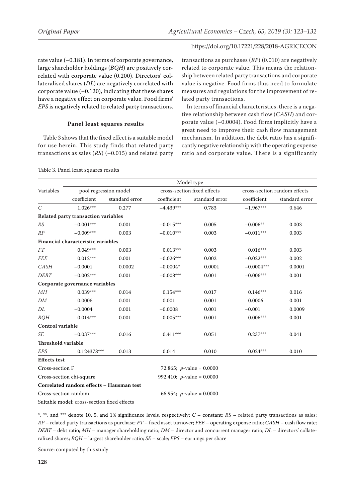rate value (–0.181). In terms of corporate governance, large shareholder holdings (*BQH*) are positively correlated with corporate value (0.200). Directors' collateralised shares (*DL*) are negatively correlated with corporate value  $(-0.120)$ , indicating that these shares have a negative effect on corporate value. Food firms' *EPS* is negatively related to related party transactions.

# **Panel least squares results**

Table 3 shows that the fixed effect is a suitable model for use herein. This study finds that related party transactions as sales (*RS*) (–0.015) and related party

Table 3. Panel least squares results

transactions as purchases (*RP*) (0.010) are negatively related to corporate value. This means the relationship between related party transactions and corporate value is negative. Food firms thus need to formulate measures and regulations for the improvement of related party transactions.

In terms of financial characteristics, there is a negative relationship between cash flow (*CASH*) and corporate value (–0.0004). Food firms implicitly have a great need to improve their cash flow management mechanism. In addition, the debt ratio has a significantly negative relationship with the operating expense ratio and corporate value. There is a significantly

|                          | Model type                                  |                |                             |                              |                              |                |  |
|--------------------------|---------------------------------------------|----------------|-----------------------------|------------------------------|------------------------------|----------------|--|
| Variables                | pool regression model                       |                | cross-section fixed effects |                              | cross-section random effects |                |  |
|                          | coefficient                                 | standard error | coefficient                 | standard error               | coefficient                  | standard error |  |
| $\cal C$                 | $1.026***$                                  | 0.277          | $-4.439***$                 | 0.783                        | $-1.967***$                  | 0.646          |  |
|                          | Related party transaction variables         |                |                             |                              |                              |                |  |
| RS                       | $-0.001***$                                 | 0.001          | $-0.015***$                 | 0.005                        | $-0.006**$                   | 0.003          |  |
| RP                       | $-0.009***$                                 | 0.003          | $-0.010***$                 | 0.003                        | $-0.011***$                  | 0.003          |  |
|                          | Financial characteristic variables          |                |                             |                              |                              |                |  |
| FT                       | $0.049***$                                  | 0.003          | $0.013***$                  | 0.003                        | $0.016***$                   | 0.003          |  |
| <b>FEE</b>               | $0.012***$                                  | 0.001          | $-0.026***$                 | 0.002                        | $-0.022***$                  | 0.002          |  |
| CASH                     | $-0.0001$                                   | 0.0002         | $-0.0004*$                  | 0.0001                       | $-0.0004***$                 | 0.0001         |  |
| <b>DEBT</b>              | $-0.002***$                                 | 0.001          | $-0.008***$                 | 0.001                        | $-0.006***$                  | 0.001          |  |
|                          | Corporate governance variables              |                |                             |                              |                              |                |  |
| M <sub>H</sub>           | $0.039***$                                  | 0.014          | $0.154***$                  | 0.017                        | $0.146***$                   | 0.016          |  |
| DM                       | 0.0006                                      | 0.001          | 0.001                       | 0.001                        | 0.0006                       | 0.001          |  |
| DL                       | $-0.0004$                                   | 0.001          | $-0.0008$                   | 0.001                        | $-0.001$                     | 0.0009         |  |
| BQH                      | $0.014***$                                  | 0.001          | $0.005***$                  | 0.001                        | $0.006***$                   | 0.001          |  |
| <b>Control variable</b>  |                                             |                |                             |                              |                              |                |  |
| SE                       | $-0.037***$                                 | 0.016          | $0.411***$                  | 0.051                        | $0.237***$                   | 0.041          |  |
| Threshold variable       |                                             |                |                             |                              |                              |                |  |
| <b>EPS</b>               | 0.124378***                                 | 0.013          | 0.014                       | 0.010                        | $0.024***$                   | 0.010          |  |
| <b>Effects</b> test      |                                             |                |                             |                              |                              |                |  |
| Cross-section F          |                                             |                |                             | 72.865; $p$ -value = 0.0000  |                              |                |  |
| Cross-section chi-square |                                             |                |                             | 992.410; $p$ -value = 0.0000 |                              |                |  |
|                          | Correlated random effects - Hausman test    |                |                             |                              |                              |                |  |
| Cross-section random     |                                             |                |                             | 66.954; $p$ -value = 0.0000  |                              |                |  |
|                          | Suitable model: cross-section fixed effects |                |                             |                              |                              |                |  |

\*, \*\*, and \*\*\* denote 10, 5, and 1% significance levels, respectively; *C* – constant; *RS* – related party transactions as sales; *RP* – related party transactions as purchase; *FT* – fixed asset turnover; *FEE* – operating expense ratio; *CASH* – cash flow rate; *DEBT* – debt ratio; *MH* – manager shareholding ratio; *DM* – director and concurrent manager ratio; *DL* – directors' collateralized shares; *BQH* – largest shareholder ratio; *SE* – scale; *EPS* – earnings per share

Source: computed by this study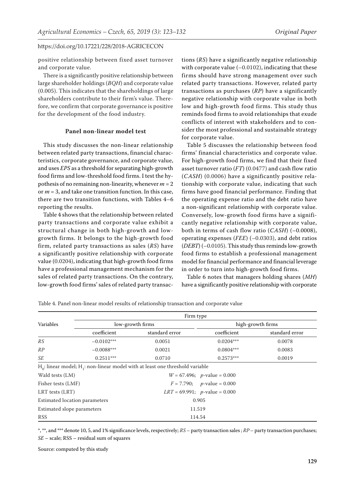positive relationship between fixed asset turnover and corporate value.

There is a significantly positive relationship between large shareholder holdings (*BQH*) and corporate value (0.005). This indicates that the shareholdings of large shareholders contribute to their firm's value. Therefore, we confirm that corporate governance is positive for the development of the food industry.

## **Panel non-linear model test**

This study discusses the non-linear relationship between related party transactions, financial characteristics, corporate governance, and corporate value, and uses *EPS* as a threshold for separating high-growth food firms and low-threshold food firms. I test the hypothesis of no remaining non-linearity, whenever *m* = 2 or *m* = 3, and take one transition function. In this case, there are two transition functions, with Tables 4–6 reporting the results.

Table 4 shows that the relationship between related party transactions and corporate value exhibit a structural change in both high-growth and lowgrowth firms. It belongs to the high-growth food firm, related party transactions as sales (*RS*) have a significantly positive relationship with corporate value (0.0204), indicating that high-growth food firms have a professional management mechanism for the sales of related party transactions. On the contrary, low-growth food firms' sales of related party transac-

tions (*RS*) have a significantly negative relationship with corporate value  $(-0.0102)$ , indicating that these firms should have strong management over such related party transactions. However, related party transactions as purchases (*RP*) have a significantly negative relationship with corporate value in both low and high-growth food firms. This study thus reminds food firms to avoid relationships that exude conflicts of interest with stakeholders and to consider the most professional and sustainable strategy for corporate value.

Table 5 discusses the relationship between food firms' financial characteristics and corporate value. For high-growth food firms, we find that their fixed asset turnover ratio (*FT*) (0.0477) and cash flow ratio (*CASH*) (0.0006) have a significantly positive relationship with corporate value, indicating that such firms have good financial performance. Finding that the operating expense ratio and the debt ratio have a non-significant relationship with corporate value. Conversely, low-growth food firms have a significantly negative relationship with corporate value, both in terms of cash flow ratio (*CASH*) (–0.0008), operating expenses (*FEE*) (–0.0303), and debt ratios (*DEBT*) (–0.0105). This study thus reminds low-growth food firms to establish a professional management model for financial performance and financial leverage in order to turn into high-growth food firms.

Table 6 notes that managers holding shares (*MH*) have a significantly positive relationship with corporate

Table 4. Panel non-linear model results of relationship transaction and corporate value

|                            | Firm type                            |                                                                                     |                                          |                   |  |  |
|----------------------------|--------------------------------------|-------------------------------------------------------------------------------------|------------------------------------------|-------------------|--|--|
| Variables                  |                                      | low-growth firms                                                                    |                                          | high-growth firms |  |  |
|                            | coefficient                          | standard error                                                                      | coefficient                              | standard error    |  |  |
| RS                         | $-0.0102***$                         | 0.0051                                                                              | $0.0204***$                              | 0.0078            |  |  |
| RP                         | $-0.0088***$                         | 0.0021                                                                              | $0.0804***$                              | 0.0083            |  |  |
| SE                         | $0.2511***$                          | 0.0710                                                                              | $0.2573***$                              | 0.0019            |  |  |
|                            |                                      | $H_0$ : linear model; $H_1$ : non-linear model with at least one threshold variable |                                          |                   |  |  |
| Wald tests (LM)            |                                      |                                                                                     | $W = 67.496$ ; <i>p</i> -value = 0.000   |                   |  |  |
| Fisher tests (LMF)         |                                      |                                                                                     | $F = 7.790;$ p-value = 0.000             |                   |  |  |
| LRT tests (LRT)            |                                      |                                                                                     | $LRT = 69.991$ ; <i>p</i> -value = 0.000 |                   |  |  |
|                            | <b>Estimated location parameters</b> |                                                                                     | 0.905                                    |                   |  |  |
| Estimated slope parameters |                                      |                                                                                     | 11.519                                   |                   |  |  |
| <b>RSS</b>                 |                                      |                                                                                     | 114.54                                   |                   |  |  |

\*, \*\*, and \*\*\* denote 10, 5, and 1% significance levels, respectively; *RS* – party transaction sales ; *RP* – party transaction purchases; *SE* – scale; RSS – residual sum of squares

Source: computed by this study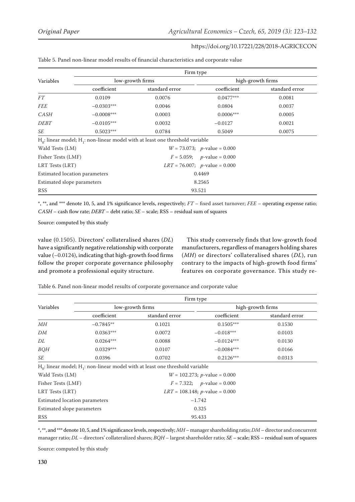|                               |              |                                                                                     | Firm type                                |                |  |
|-------------------------------|--------------|-------------------------------------------------------------------------------------|------------------------------------------|----------------|--|
| Variables                     |              | low-growth firms                                                                    | high-growth firms                        |                |  |
|                               | coefficient  | standard error                                                                      | coefficient                              | standard error |  |
| FT.                           | 0.0109       | 0.0076                                                                              | $0.0477***$                              | 0.0081         |  |
| <i>FEE</i>                    | $-0.0303***$ | 0.0046                                                                              | 0.0804                                   | 0.0037         |  |
| <b>CASH</b>                   | $-0.0008***$ | 0.0003                                                                              | $0.0006***$                              | 0.0005         |  |
| <b>DEBT</b>                   | $-0.0105***$ | 0.0032                                                                              | $-0.0127$                                | 0.0021         |  |
| SE                            | $0.5023***$  | 0.0784                                                                              | 0.5049                                   | 0.0075         |  |
|                               |              | $H_0$ : linear model; $H_1$ : non-linear model with at least one threshold variable |                                          |                |  |
| Wald Tests (LM)               |              |                                                                                     | $W = 73.073$ ; <i>p</i> -value = 0.000   |                |  |
| Fisher Tests (LMF)            |              |                                                                                     | $F = 5.059$ ; <i>p</i> -value = 0.000    |                |  |
| LRT Tests (LRT)               |              |                                                                                     | $LRT = 76.007$ ; <i>p</i> -value = 0.000 |                |  |
| Estimated location parameters |              |                                                                                     | 0.4469                                   |                |  |
| Estimated slope parameters    |              |                                                                                     | 8.2565                                   |                |  |
| <b>RSS</b>                    |              |                                                                                     | 93.521                                   |                |  |

Table 5. Panel non-linear model results of financial characteristics and corporate value

\*, \*\*, and \*\*\* denote 10, 5, and 1% significance levels, respectively; *FT* – fixed asset turnover; *FEE* – operating expense ratio; *CASH –* cash flow rate; *DEBT* – debt ratio; *SE* – scale; RSS – residual sum of squares

Source: computed by this study

value (0.1505). Directors' collateralised shares (*DL*) have a significantly negative relationship with corporate value (–0.0124), indicating that high-growth food firms follow the proper corporate governance philosophy and promote a professional equity structure.

This study conversely finds that low-growth food manufacturers, regardless of managers holding shares (*MH*) or directors' collateralised shares (*DL*), run contrary to the impacts of high-growth food firms' features on corporate governance. This study re-

Table 6. Panel non-linear model results of corporate governance and corporate value

|                                      |             | Firm type                                                                           |                                         |                |  |  |
|--------------------------------------|-------------|-------------------------------------------------------------------------------------|-----------------------------------------|----------------|--|--|
| Variables                            |             | low-growth firms                                                                    | high-growth firms                       |                |  |  |
|                                      | coefficient | standard error                                                                      | coefficient                             | standard error |  |  |
| ΜH                                   | $-0.7845**$ | 0.1021                                                                              | $0.1505***$                             | 0.1530         |  |  |
| DM                                   | $0.0363***$ | 0.0072                                                                              | $-0.018***$                             | 0.0103         |  |  |
| DL                                   | $0.0264***$ | 0.0088                                                                              | $-0.0124***$                            | 0.0130         |  |  |
| <b>BQH</b>                           | $0.0329***$ | 0.0107                                                                              | $-0.0084***$                            | 0.0166         |  |  |
| SE                                   | 0.0396      | 0.0702                                                                              | $0.2126***$                             | 0.0313         |  |  |
|                                      |             | $H_0$ : linear model; $H_1$ : non-linear model with at least one threshold variable |                                         |                |  |  |
| Wald Tests (LM)                      |             |                                                                                     | $W = 102.273$ ; <i>p</i> -value = 0.000 |                |  |  |
| Fisher Tests (LMF)                   |             |                                                                                     | $F = 7.322$ ; <i>p</i> -value = 0.000   |                |  |  |
| LRT Tests (LRT)                      |             | $LRT = 108.148$ ; <i>p</i> -value = 0.000                                           |                                         |                |  |  |
| <b>Estimated location parameters</b> |             |                                                                                     | $-1.742$                                |                |  |  |
| Estimated slope parameters           |             |                                                                                     | 0.325                                   |                |  |  |
| RSS                                  |             |                                                                                     | 95.433                                  |                |  |  |

\*, \*\*, and \*\*\* denote 10, 5, and 1% significance levels, respectively; *MH* – manager shareholding ratio; *DM* – director and concurrent manager ratio; *DL* – directors' collateralized shares; *BQH* – largest shareholder ratio; *SE* – scale; RSS – residual sum of squares

Source: computed by this study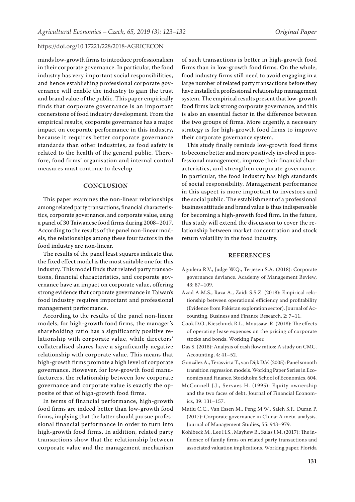minds low-growth firms to introduce professionalism in their corporate governance. In particular, the food industry has very important social responsibilities, and hence establishing professional corporate governance will enable the industry to gain the trust and brand value of the public. This paper empirically finds that corporate governance is an important cornerstone of food industry development. From the empirical results, corporate governance has a major impact on corporate performance in this industry, because it requires better corporate governance standards than other industries, as food safety is related to the health of the general public. Therefore, food firms' organisation and internal control measures must continue to develop.

#### **CONCLUSION**

This paper examines the non-linear relationships among related party transactions, financial characteristics, corporate governance, and corporate value, using a panel of 30 Taiwanese food firms during 2008–2017. According to the results of the panel non-linear models, the relationships among these four factors in the food industry are non-linear.

The results of the panel least squares indicate that the fixed effect model is the most suitable one for this industry. This model finds that related party transactions, financial characteristics, and corporate governance have an impact on corporate value, offering strong evidence that corporate governance in Taiwan's food industry requires important and professional management performance.

According to the results of the panel non-linear models, for high-growth food firms, the manager's shareholding ratio has a significantly positive relationship with corporate value, while directors' collateralised shares have a significantly negative relationship with corporate value. This means that high-growth firms promote a high level of corporate governance. However, for low-growth food manufacturers, the relationship between low corporate governance and corporate value is exactly the opposite of that of high-growth food firms.

In terms of financial performance, high-growth food firms are indeed better than low-growth food firms, implying that the latter should pursue professional financial performance in order to turn into high-growth food firms. In addition, related party transactions show that the relationship between corporate value and the management mechanism of such transactions is better in high-growth food firms than in low-growth food firms. On the whole, food industry firms still need to avoid engaging in a large number of related party transactions before they have installed a professional relationship management system. The empirical results present that low-growth food firms lack strong corporate governance, and this is also an essential factor in the difference between the two groups of firms. More urgently, a necessary strategy is for high-growth food firms to improve their corporate governance system.

This study finally reminds low-growth food firms to become better and more positively involved in professional management, improve their financial characteristics, and strengthen corporate governance. In particular, the food industry has high standards of social responsibility. Management performance in this aspect is more important to investors and the social public. The establishment of a professional business attitude and brand value is thus indispensable for becoming a high-growth food firm. In the future, this study will extend the discussion to cover the relationship between market concentration and stock return volatility in the food industry.

#### **REFERENCES**

- Aguilera R.V., Judge W.Q., Terjesen S.A. (2018): Corporate governance deviance. Academy of Management Review, 43: 87–109.
- Azad A.M.S., Raza A., Zaidi S.S.Z. (2018): Empirical relationship between operational efficiency and profitability (Evidence from Pakistan exploration sector). Journal of Accounting, Business and Finance Research, 2: 7–11.
- Cook D.O., Kieschnick R.L., Moussawi R. (2018): The effects of operating lease expenses on the pricing of corporate stocks and bonds. Working Paper.
- Das S. (2018): Analysis of cash flow ratios: A study on CMC. Accounting, 4: 41–52.
- González A., Teräsvirta T., van Dijk D.V. (2005): Panel smooth transition regression models. Working Paper Series in Economics and Finance, Stockholm School of Economics, 604.
- McConnell J.J., Servaes H. (1995): Equity ownership and the two faces of debt. Journal of Financial Economics, 39: 131–157.
- Mutlu C.C., Van Essen M., Peng M.W., Saleh S.F., Duran P. (2017): Corporate governance in China: A meta-analysis. Journal of Management Studies, 55: 943–979.
- Kohlbeck M., Lee H.S., Mayhew B., Salas J.M. (2017): The influence of family firms on related party transactions and associated valuation implications. Working paper. Florida